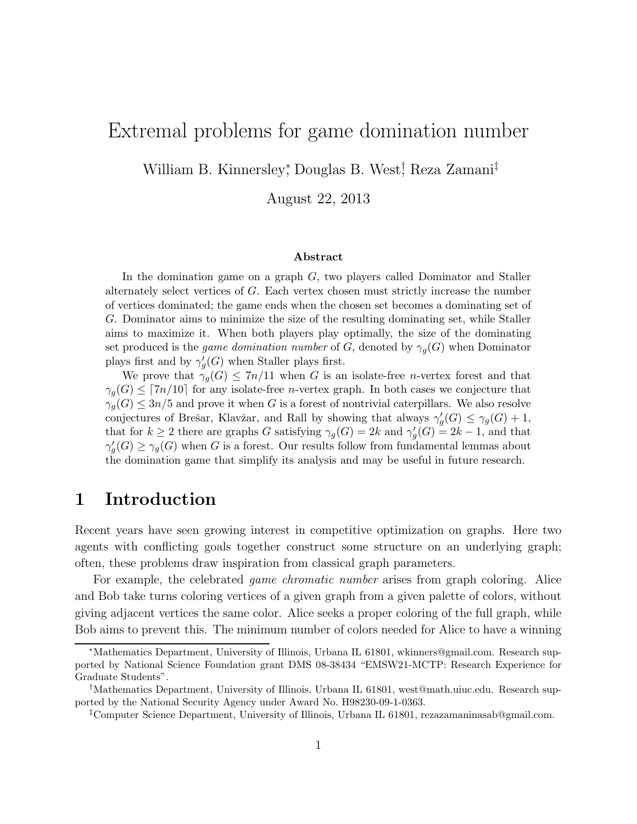# Extremal problems for game domination number

William B. Kinnersley<sup>∗</sup> , Douglas B. West† , Reza Zamani‡

August 22, 2013

#### Abstract

In the domination game on a graph  $G$ , two players called Dominator and Staller alternately select vertices of G. Each vertex chosen must strictly increase the number of vertices dominated; the game ends when the chosen set becomes a dominating set of G. Dominator aims to minimize the size of the resulting dominating set, while Staller aims to maximize it. When both players play optimally, the size of the dominating set produced is the *game domination number* of G, denoted by  $\gamma_q(G)$  when Dominator plays first and by  $\gamma'_{c}$  $g'_{g}(G)$  when Staller plays first.

We prove that  $\gamma_g(G) \leq 7n/11$  when G is an isolate-free *n*-vertex forest and that  $\gamma_q(G) \leq [7n/10]$  for any isolate-free *n*-vertex graph. In both cases we conjecture that  $\gamma_q(G) \leq 3n/5$  and prove it when G is a forest of nontrivial caterpillars. We also resolve conjectures of Brešar, Klavžar, and Rall by showing that always  $\gamma'$  $\gamma_g'(G) \leq \gamma_g(G) + 1,$ that for  $k \geq 2$  there are graphs G satisfying  $\gamma_g(G) = 2k$  and  $\gamma'_g$  $g'_{g}(G) = 2k - 1$ , and that  $\gamma_c'$  $g'_{g}(G) \geq \gamma_{g}(G)$  when G is a forest. Our results follow from fundamental lemmas about the domination game that simplify its analysis and may be useful in future research.

## 1 Introduction

Recent years have seen growing interest in competitive optimization on graphs. Here two agents with conflicting goals together construct some structure on an underlying graph; often, these problems draw inspiration from classical graph parameters.

For example, the celebrated *game chromatic number* arises from graph coloring. Alice and Bob take turns coloring vertices of a given graph from a given palette of colors, without giving adjacent vertices the same color. Alice seeks a proper coloring of the full graph, while Bob aims to prevent this. The minimum number of colors needed for Alice to have a winning

<sup>∗</sup>Mathematics Department, University of Illinois, Urbana IL 61801, wkinners@gmail.com. Research supported by National Science Foundation grant DMS 08-38434 "EMSW21-MCTP: Research Experience for Graduate Students".

<sup>†</sup>Mathematics Department, University of Illinois, Urbana IL 61801, west@math.uiuc.edu. Research supported by the National Security Agency under Award No. H98230-09-1-0363.

<sup>‡</sup>Computer Science Department, University of Illinois, Urbana IL 61801, rezazamaninasab@gmail.com.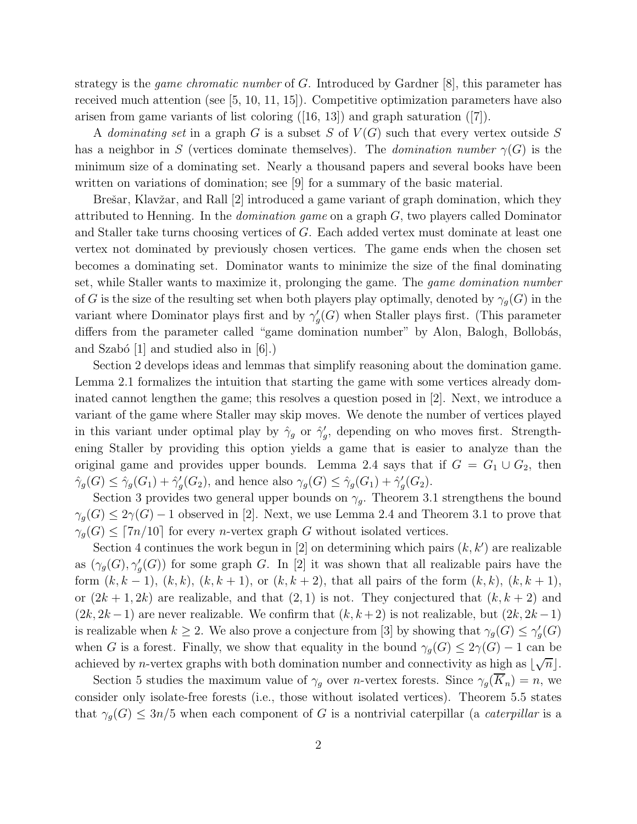strategy is the *game chromatic number* of G. Introduced by Gardner [8], this parameter has received much attention (see [5, 10, 11, 15]). Competitive optimization parameters have also arisen from game variants of list coloring  $([16, 13])$  and graph saturation  $([7])$ .

A *dominating set* in a graph G is a subset S of  $V(G)$  such that every vertex outside S has a neighbor in S (vertices dominate themselves). The *domination number*  $\gamma(G)$  is the minimum size of a dominating set. Nearly a thousand papers and several books have been written on variations of domination; see [9] for a summary of the basic material.

Brešar, Klavžar, and Rall [2] introduced a game variant of graph domination, which they attributed to Henning. In the *domination game* on a graph G, two players called Dominator and Staller take turns choosing vertices of G. Each added vertex must dominate at least one vertex not dominated by previously chosen vertices. The game ends when the chosen set becomes a dominating set. Dominator wants to minimize the size of the final dominating set, while Staller wants to maximize it, prolonging the game. The *game domination number* of G is the size of the resulting set when both players play optimally, denoted by  $\gamma_q(G)$  in the variant where Dominator plays first and by  $\gamma'$  $\mathcal{G}_g(G)$  when Staller plays first. (This parameter differs from the parameter called "game domination number" by Alon, Balogh, Bollobás, and Szabó  $[1]$  and studied also in  $[6]$ .)

Section 2 develops ideas and lemmas that simplify reasoning about the domination game. Lemma 2.1 formalizes the intuition that starting the game with some vertices already dominated cannot lengthen the game; this resolves a question posed in [2]. Next, we introduce a variant of the game where Staller may skip moves. We denote the number of vertices played in this variant under optimal play by  $\hat{\gamma}_g$  or  $\hat{\gamma}'_g$  $'_{g}$ , depending on who moves first. Strengthening Staller by providing this option yields a game that is easier to analyze than the original game and provides upper bounds. Lemma 2.4 says that if  $G = G_1 \cup G_2$ , then  $\hat{\gamma}_g(G) \leq \hat{\gamma}_g(G_1) + \hat{\gamma}_g'$  $\gamma_g'(G_2)$ , and hence also  $\gamma_g(G) \leq \hat{\gamma}_g(G_1) + \hat{\gamma}_g'$  $'_g(G_2).$ 

Section 3 provides two general upper bounds on  $\gamma_q$ . Theorem 3.1 strengthens the bound  $\gamma_q(G) \leq 2\gamma(G) - 1$  observed in [2]. Next, we use Lemma 2.4 and Theorem 3.1 to prove that  $\gamma_q(G) \leq [7n/10]$  for every *n*-vertex graph G without isolated vertices.

Section 4 continues the work begun in  $[2]$  on determining which pairs  $(k, k')$  are realizable as  $(\gamma_g(G), \gamma'_g(G))$  for some graph G. In [2] it was shown that all realizable pairs have the form  $(k, k - 1)$ ,  $(k, k)$ ,  $(k, k + 1)$ , or  $(k, k + 2)$ , that all pairs of the form  $(k, k)$ ,  $(k, k + 1)$ , or  $(2k+1, 2k)$  are realizable, and that  $(2, 1)$  is not. They conjectured that  $(k, k+2)$  and  $(2k, 2k-1)$  are never realizable. We confirm that  $(k, k+2)$  is not realizable, but  $(2k, 2k-1)$ is realizable when  $k \geq 2$ . We also prove a conjecture from [3] by showing that  $\gamma_g(G) \leq \gamma'_g$  $'_g(G)$ when G is a forest. Finally, we show that equality in the bound  $\gamma_q(G) \leq 2\gamma(G) - 1$  can be achieved by *n*-vertex graphs with both domination number and connectivity as high as  $\lfloor \sqrt{n} \rfloor$ .

Section 5 studies the maximum value of  $\gamma_g$  over *n*-vertex forests. Since  $\gamma_g(K_n) = n$ , we consider only isolate-free forests (i.e., those without isolated vertices). Theorem 5.5 states that  $\gamma_q(G) \leq 3n/5$  when each component of G is a nontrivial caterpillar (a *caterpillar* is a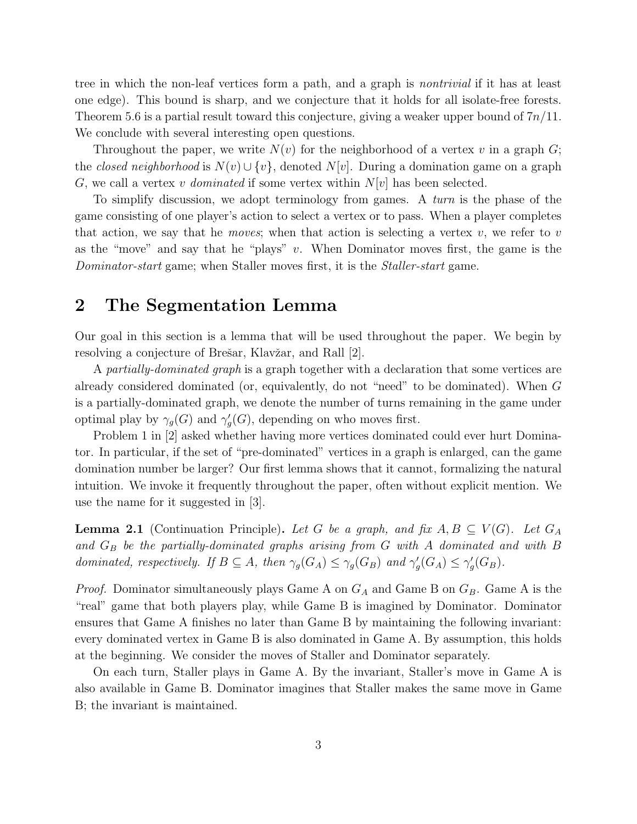tree in which the non-leaf vertices form a path, and a graph is *nontrivial* if it has at least one edge). This bound is sharp, and we conjecture that it holds for all isolate-free forests. Theorem 5.6 is a partial result toward this conjecture, giving a weaker upper bound of  $7n/11$ . We conclude with several interesting open questions.

Throughout the paper, we write  $N(v)$  for the neighborhood of a vertex v in a graph G; the *closed neighborhood* is  $N(v) \cup \{v\}$ , denoted  $N[v]$ . During a domination game on a graph G, we call a vertex v *dominated* if some vertex within  $N[v]$  has been selected.

To simplify discussion, we adopt terminology from games. A *turn* is the phase of the game consisting of one player's action to select a vertex or to pass. When a player completes that action, we say that he *moves*; when that action is selecting a vertex  $v$ , we refer to  $v$ as the "move" and say that he "plays"  $v$ . When Dominator moves first, the game is the *Dominator-start* game; when Staller moves first, it is the *Staller-start* game.

## 2 The Segmentation Lemma

Our goal in this section is a lemma that will be used throughout the paper. We begin by resolving a conjecture of Brešar, Klavžar, and Rall [2].

A *partially-dominated graph* is a graph together with a declaration that some vertices are already considered dominated (or, equivalently, do not "need" to be dominated). When G is a partially-dominated graph, we denote the number of turns remaining in the game under optimal play by  $\gamma_g(G)$  and  $\gamma'_g$  $g'_{g}(G)$ , depending on who moves first.

Problem 1 in [2] asked whether having more vertices dominated could ever hurt Dominator. In particular, if the set of "pre-dominated" vertices in a graph is enlarged, can the game domination number be larger? Our first lemma shows that it cannot, formalizing the natural intuition. We invoke it frequently throughout the paper, often without explicit mention. We use the name for it suggested in [3].

**Lemma 2.1** (Continuation Principle). Let G be a graph, and fix  $A, B \subseteq V(G)$ . Let  $G_A$ *and* G<sup>B</sup> *be the partially-dominated graphs arising from* G *with* A *dominated and with* B *dominated, respectively. If*  $B \subseteq A$ *, then*  $\gamma_g(G_A) \leq \gamma_g(G_B)$  *and*  $\gamma'_g$  $\gamma_g'(G_A) \leq \gamma_g'$  $G'_g(G_B)$ .

*Proof.* Dominator simultaneously plays Game A on  $G_A$  and Game B on  $G_B$ . Game A is the "real" game that both players play, while Game B is imagined by Dominator. Dominator ensures that Game A finishes no later than Game B by maintaining the following invariant: every dominated vertex in Game B is also dominated in Game A. By assumption, this holds at the beginning. We consider the moves of Staller and Dominator separately.

On each turn, Staller plays in Game A. By the invariant, Staller's move in Game A is also available in Game B. Dominator imagines that Staller makes the same move in Game B; the invariant is maintained.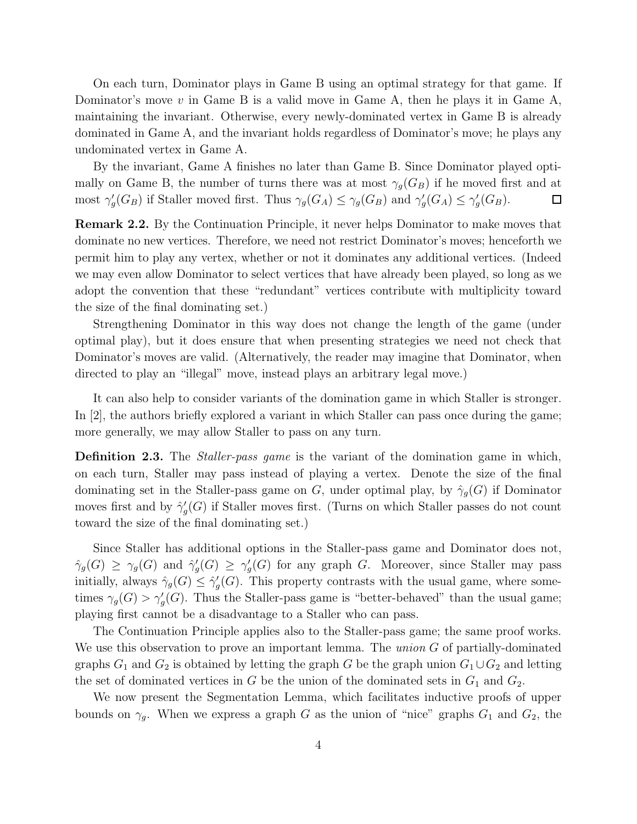On each turn, Dominator plays in Game B using an optimal strategy for that game. If Dominator's move  $v$  in Game B is a valid move in Game A, then he plays it in Game A, maintaining the invariant. Otherwise, every newly-dominated vertex in Game B is already dominated in Game A, and the invariant holds regardless of Dominator's move; he plays any undominated vertex in Game A.

By the invariant, Game A finishes no later than Game B. Since Dominator played optimally on Game B, the number of turns there was at most  $\gamma_g(G_B)$  if he moved first and at most  $\gamma'_{c}$  $\gamma_g'(G_B)$  if Staller moved first. Thus  $\gamma_g(G_A) \leq \gamma_g(G_B)$  and  $\gamma'_g$  $G_g(G_A) \leq \gamma'_g$  $'_g(G_B).$  $\Box$ 

Remark 2.2. By the Continuation Principle, it never helps Dominator to make moves that dominate no new vertices. Therefore, we need not restrict Dominator's moves; henceforth we permit him to play any vertex, whether or not it dominates any additional vertices. (Indeed we may even allow Dominator to select vertices that have already been played, so long as we adopt the convention that these "redundant" vertices contribute with multiplicity toward the size of the final dominating set.)

Strengthening Dominator in this way does not change the length of the game (under optimal play), but it does ensure that when presenting strategies we need not check that Dominator's moves are valid. (Alternatively, the reader may imagine that Dominator, when directed to play an "illegal" move, instead plays an arbitrary legal move.)

It can also help to consider variants of the domination game in which Staller is stronger. In [2], the authors briefly explored a variant in which Staller can pass once during the game; more generally, we may allow Staller to pass on any turn.

Definition 2.3. The *Staller-pass game* is the variant of the domination game in which, on each turn, Staller may pass instead of playing a vertex. Denote the size of the final dominating set in the Staller-pass game on G, under optimal play, by  $\hat{\gamma}_g(G)$  if Dominator moves first and by  $\hat{\gamma}'_c$  $g'_{g}(G)$  if Staller moves first. (Turns on which Staller passes do not count toward the size of the final dominating set.)

Since Staller has additional options in the Staller-pass game and Dominator does not,  $\hat{\gamma}_g(G) \geq \gamma_g(G)$  and  $\hat{\gamma}'_g$  $\gamma_g'(G) \geq \gamma_g'$  $g'_{g}(G)$  for any graph G. Moreover, since Staller may pass initially, always  $\hat{\gamma}_g(G) \leq \hat{\gamma}'_g$  $g'_{g}(G)$ . This property contrasts with the usual game, where sometimes  $\gamma_g(G) > \gamma'_g(G)$ . Thus the Staller-pass game is "better-behaved" than the usual game; playing first cannot be a disadvantage to a Staller who can pass.

The Continuation Principle applies also to the Staller-pass game; the same proof works. We use this observation to prove an important lemma. The *union* G of partially-dominated graphs  $G_1$  and  $G_2$  is obtained by letting the graph G be the graph union  $G_1 \cup G_2$  and letting the set of dominated vertices in G be the union of the dominated sets in  $G_1$  and  $G_2$ .

We now present the Segmentation Lemma, which facilitates inductive proofs of upper bounds on  $\gamma_g$ . When we express a graph G as the union of "nice" graphs  $G_1$  and  $G_2$ , the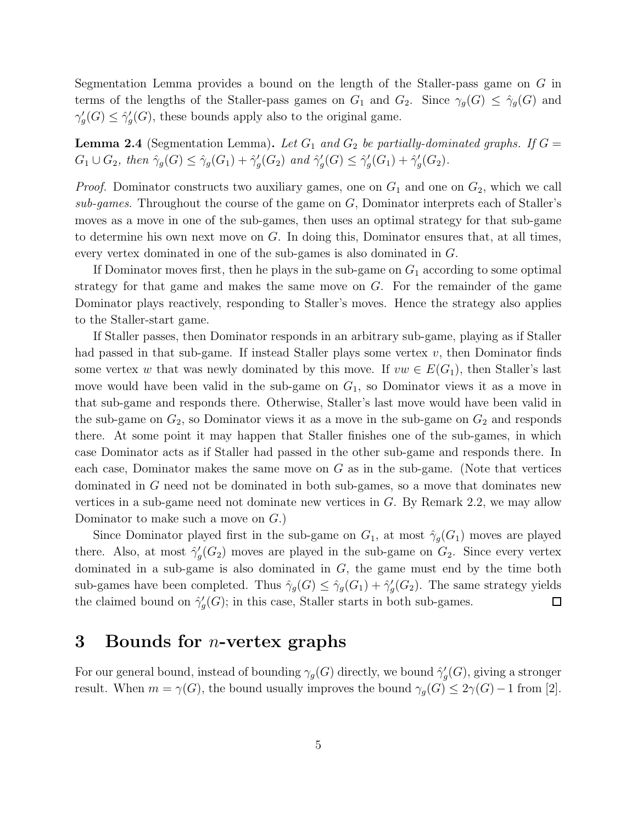Segmentation Lemma provides a bound on the length of the Staller-pass game on G in terms of the lengths of the Staller-pass games on  $G_1$  and  $G_2$ . Since  $\gamma_g(G) \leq \hat{\gamma}_g(G)$  and  $\gamma'_{c}$  $\gamma'_g(G) \leq \hat{\gamma}'_g$  $g'_{g}(G)$ , these bounds apply also to the original game.

**Lemma 2.4** (Segmentation Lemma). Let  $G_1$  and  $G_2$  be partially-dominated graphs. If  $G =$  $G_1 \cup G_2$ , then  $\hat{\gamma}_g(G) \leq \hat{\gamma}_g(G_1) + \hat{\gamma}_g'$  $'_{g}(G_2)$  and  $\hat{\gamma}'_g$  $G'_g(G) \leq \hat{\gamma}'_g$  $\zeta_g'(G_1)+\hat{\gamma}_g'$  $'_{g}(G_{2}).$ 

*Proof.* Dominator constructs two auxiliary games, one on  $G_1$  and one on  $G_2$ , which we call *sub-games*. Throughout the course of the game on G, Dominator interprets each of Staller's moves as a move in one of the sub-games, then uses an optimal strategy for that sub-game to determine his own next move on  $G$ . In doing this, Dominator ensures that, at all times, every vertex dominated in one of the sub-games is also dominated in G.

If Dominator moves first, then he plays in the sub-game on  $G_1$  according to some optimal strategy for that game and makes the same move on  $G$ . For the remainder of the game Dominator plays reactively, responding to Staller's moves. Hence the strategy also applies to the Staller-start game.

If Staller passes, then Dominator responds in an arbitrary sub-game, playing as if Staller had passed in that sub-game. If instead Staller plays some vertex  $v$ , then Dominator finds some vertex w that was newly dominated by this move. If  $vw \in E(G_1)$ , then Staller's last move would have been valid in the sub-game on  $G_1$ , so Dominator views it as a move in that sub-game and responds there. Otherwise, Staller's last move would have been valid in the sub-game on  $G_2$ , so Dominator views it as a move in the sub-game on  $G_2$  and responds there. At some point it may happen that Staller finishes one of the sub-games, in which case Dominator acts as if Staller had passed in the other sub-game and responds there. In each case, Dominator makes the same move on  $G$  as in the sub-game. (Note that vertices dominated in G need not be dominated in both sub-games, so a move that dominates new vertices in a sub-game need not dominate new vertices in G. By Remark 2.2, we may allow Dominator to make such a move on G.)

Since Dominator played first in the sub-game on  $G_1$ , at most  $\hat{\gamma}_g(G_1)$  moves are played there. Also, at most  $\hat{\gamma}'_c$  $G<sub>g</sub>(G<sub>2</sub>)$  moves are played in the sub-game on  $G<sub>2</sub>$ . Since every vertex dominated in a sub-game is also dominated in G, the game must end by the time both sub-games have been completed. Thus  $\hat{\gamma}_g(G) \leq \hat{\gamma}_g(G_1) + \hat{\gamma}_g'$  $g'(G_2)$ . The same strategy yields the claimed bound on  $\hat{\gamma}'_c$  $g'(G)$ ; in this case, Staller starts in both sub-games.  $\Box$ 

### 3 Bounds for *n*-vertex graphs

For our general bound, instead of bounding  $\gamma_g(G)$  directly, we bound  $\hat{\gamma}'_g$  $g'_{g}(G)$ , giving a stronger result. When  $m = \gamma(G)$ , the bound usually improves the bound  $\gamma_g(G) \leq 2\gamma(G) - 1$  from [2].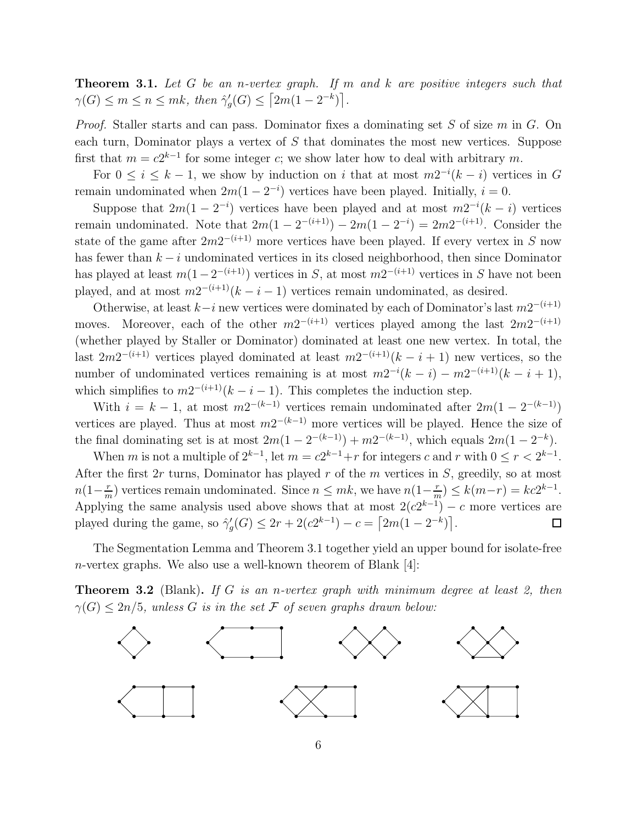Theorem 3.1. *Let* G *be an* n*-vertex graph. If* m *and* k *are positive integers such that*  $\gamma(G) \leq m \leq n \leq mk$ , then  $\hat{\gamma}'_g$  $J_g'(G) \leq [2m(1-2^{-k})].$ 

*Proof.* Staller starts and can pass. Dominator fixes a dominating set S of size m in G. On each turn, Dominator plays a vertex of S that dominates the most new vertices. Suppose first that  $m = c2^{k-1}$  for some integer c; we show later how to deal with arbitrary m.

For  $0 \leq i \leq k-1$ , we show by induction on i that at most  $m2^{-i}(k-i)$  vertices in G remain undominated when  $2m(1-2^{-i})$  vertices have been played. Initially,  $i = 0$ .

Suppose that  $2m(1-2^{-i})$  vertices have been played and at most  $m2^{-i}(k-i)$  vertices remain undominated. Note that  $2m(1-2^{-(i+1)})-2m(1-2^{-i})=2m2^{-(i+1)}$ . Consider the state of the game after  $2m2^{-(i+1)}$  more vertices have been played. If every vertex in S now has fewer than  $k - i$  undominated vertices in its closed neighborhood, then since Dominator has played at least  $m(1 - 2^{-(i+1)})$  vertices in S, at most  $m2^{-(i+1)}$  vertices in S have not been played, and at most  $m2^{-(i+1)}(k-i-1)$  vertices remain undominated, as desired.

Otherwise, at least  $k-i$  new vertices were dominated by each of Dominator's last  $m2^{-(i+1)}$ moves. Moreover, each of the other  $m2^{-(i+1)}$  vertices played among the last  $2m2^{-(i+1)}$ (whether played by Staller or Dominator) dominated at least one new vertex. In total, the last  $2m2^{-(i+1)}$  vertices played dominated at least  $m2^{-(i+1)}(k-i+1)$  new vertices, so the number of undominated vertices remaining is at most  $m2^{-i}(k-i) - m2^{-(i+1)}(k-i+1)$ , which simplifies to  $m2^{-(i+1)}(k-i-1)$ . This completes the induction step.

With  $i = k - 1$ , at most  $m2^{-(k-1)}$  vertices remain undominated after  $2m(1 - 2^{-(k-1)})$ vertices are played. Thus at most  $m2^{-(k-1)}$  more vertices will be played. Hence the size of the final dominating set is at most  $2m(1 - 2^{-(k-1)}) + m2^{-(k-1)}$ , which equals  $2m(1 - 2^{-k})$ .

When m is not a multiple of  $2^{k-1}$ , let  $m = c2^{k-1} + r$  for integers c and r with  $0 \le r < 2^{k-1}$ . After the first  $2r$  turns, Dominator has played  $r$  of the  $m$  vertices in  $S$ , greedily, so at most  $n(1-\frac{r}{n})$  $\frac{r}{m}$ ) vertices remain undominated. Since  $n \leq mk$ , we have  $n(1-\frac{r}{n})$  $\binom{r}{m} \le k(m-r) = kc2^{k-1}.$ Applying the same analysis used above shows that at most  $2(c2^{k-1}) - c$  more vertices are played during the game, so  $\hat{\gamma}'_c$  $g'(G) \leq 2r + 2(c2^{k-1}) - c = \left[2m(1 - 2^{-k})\right].$ 

The Segmentation Lemma and Theorem 3.1 together yield an upper bound for isolate-free n-vertex graphs. We also use a well-known theorem of Blank [4]:

Theorem 3.2 (Blank). *If* G *is an* n*-vertex graph with minimum degree at least 2, then*  $\gamma(G) \leq 2n/5$ , unless G is in the set F of seven graphs drawn below:

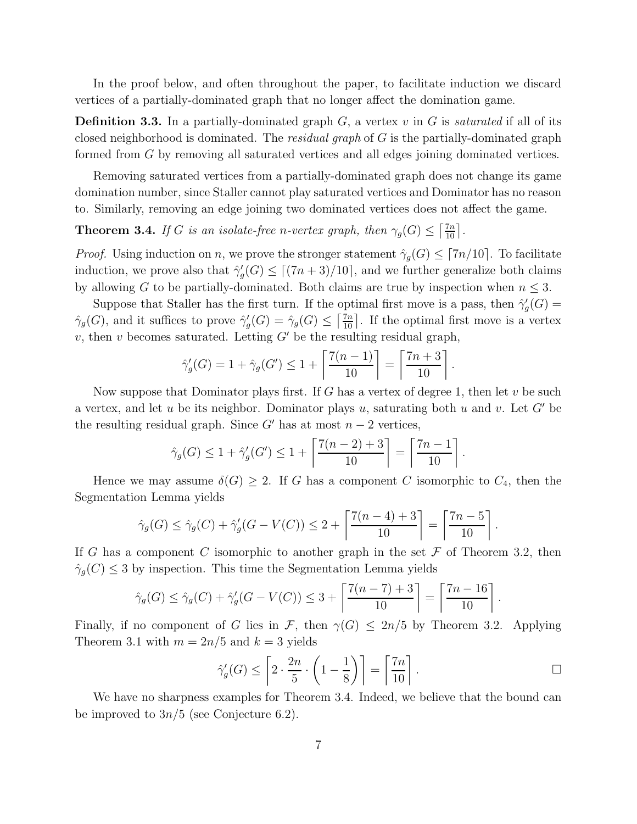In the proof below, and often throughout the paper, to facilitate induction we discard vertices of a partially-dominated graph that no longer affect the domination game.

Definition 3.3. In a partially-dominated graph G, a vertex v in G is *saturated* if all of its closed neighborhood is dominated. The *residual graph* of G is the partially-dominated graph formed from G by removing all saturated vertices and all edges joining dominated vertices.

Removing saturated vertices from a partially-dominated graph does not change its game domination number, since Staller cannot play saturated vertices and Dominator has no reason to. Similarly, removing an edge joining two dominated vertices does not affect the game.

**Theorem 3.4.** *If* G *is an isolate-free n-vertex graph, then*  $\gamma_g(G) \leq \lceil \frac{7n}{10} \rceil$ .

*Proof.* Using induction on n, we prove the stronger statement  $\hat{\gamma}_g(G) \leq [7n/10]$ . To facilitate induction, we prove also that  $\hat{\gamma}'_c$  $g'_{g}(G) \leq \lceil (7n+3)/10 \rceil$ , and we further generalize both claims by allowing G to be partially-dominated. Both claims are true by inspection when  $n \leq 3$ .

Suppose that Staller has the first turn. If the optimal first move is a pass, then  $\hat{\gamma}'_c$  $_g'(G) =$  $\hat{\gamma}_g(G)$ , and it suffices to prove  $\hat{\gamma}'_g$  $g'_{g}(G) = \hat{\gamma}_{g}(G) \leq \left\lceil \frac{7n}{10} \right\rceil$ . If the optimal first move is a vertex v, then v becomes saturated. Letting  $G'$  be the resulting residual graph,

$$
\hat{\gamma}'_g(G) = 1 + \hat{\gamma}_g(G') \le 1 + \left\lceil \frac{7(n-1)}{10} \right\rceil = \left\lceil \frac{7n+3}{10} \right\rceil.
$$

Now suppose that Dominator plays first. If G has a vertex of degree 1, then let v be such a vertex, and let u be its neighbor. Dominator plays u, saturating both u and v. Let  $G'$  be the resulting residual graph. Since G' has at most  $n-2$  vertices,

$$
\hat{\gamma}_g(G) \le 1 + \hat{\gamma}'_g(G') \le 1 + \left\lceil \frac{7(n-2) + 3}{10} \right\rceil = \left\lceil \frac{7n-1}{10} \right\rceil.
$$

Hence we may assume  $\delta(G) \geq 2$ . If G has a component C isomorphic to  $C_4$ , then the Segmentation Lemma yields

$$
\hat{\gamma}_g(G) \le \hat{\gamma}_g(C) + \hat{\gamma}'_g(G - V(C)) \le 2 + \left\lceil \frac{7(n-4) + 3}{10} \right\rceil = \left\lceil \frac{7n - 5}{10} \right\rceil.
$$

If G has a component C isomorphic to another graph in the set  $\mathcal F$  of Theorem 3.2, then  $\hat{\gamma}_g(C) \leq 3$  by inspection. This time the Segmentation Lemma yields

$$
\hat{\gamma}_g(G) \le \hat{\gamma}_g(C) + \hat{\gamma}'_g(G - V(C)) \le 3 + \left\lceil \frac{7(n-7) + 3}{10} \right\rceil = \left\lceil \frac{7n - 16}{10} \right\rceil
$$

Finally, if no component of G lies in F, then  $\gamma(G) \leq 2n/5$  by Theorem 3.2. Applying Theorem 3.1 with  $m = 2n/5$  and  $k = 3$  yields

$$
\hat{\gamma}'_g(G) \le \left[2 \cdot \frac{2n}{5} \cdot \left(1 - \frac{1}{8}\right)\right] = \left\lceil \frac{7n}{10} \right\rceil. \qquad \Box
$$

.

We have no sharpness examples for Theorem 3.4. Indeed, we believe that the bound can be improved to  $3n/5$  (see Conjecture 6.2).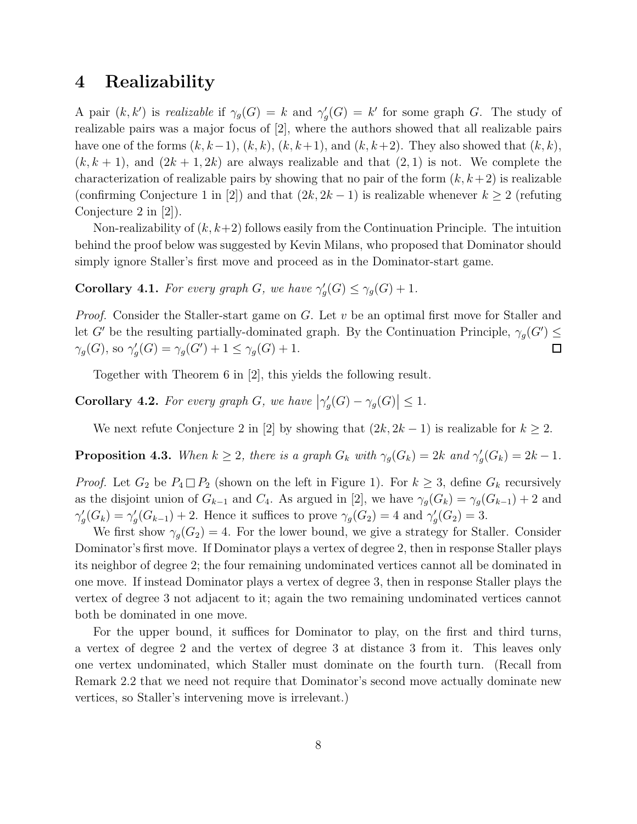### 4 Realizability

A pair  $(k, k')$  is *realizable* if  $\gamma_g(G) = k$  and  $\gamma'_g$  $g'_{g}(G) = k'$  for some graph G. The study of realizable pairs was a major focus of [2], where the authors showed that all realizable pairs have one of the forms  $(k, k-1)$ ,  $(k, k)$ ,  $(k, k+1)$ , and  $(k, k+2)$ . They also showed that  $(k, k)$ ,  $(k, k + 1)$ , and  $(2k + 1, 2k)$  are always realizable and that  $(2, 1)$  is not. We complete the characterization of realizable pairs by showing that no pair of the form  $(k, k+2)$  is realizable (confirming Conjecture 1 in [2]) and that  $(2k, 2k-1)$  is realizable whenever  $k \geq 2$  (refuting Conjecture 2 in [2]).

Non-realizability of  $(k, k+2)$  follows easily from the Continuation Principle. The intuition behind the proof below was suggested by Kevin Milans, who proposed that Dominator should simply ignore Staller's first move and proceed as in the Dominator-start game.

**Corollary 4.1.** For every graph G, we have  $\gamma'$  $\gamma_g'(G) \leq \gamma_g(G) + 1.$ 

*Proof.* Consider the Staller-start game on G. Let v be an optimal first move for Staller and let G' be the resulting partially-dominated graph. By the Continuation Principle,  $\gamma_g(G') \leq$  $\gamma_g(G)$ , so  $\gamma'_g$  $\gamma_g'(G) = \gamma_g(G') + 1 \leq \gamma_g(G) + 1.$  $\Box$ 

Together with Theorem 6 in [2], this yields the following result.

**Corollary 4.2.** For every graph G, we have  $|\gamma'_g|$  $\gamma_g'(G) - \gamma_g(G) \leq 1.$ 

We next refute Conjecture 2 in [2] by showing that  $(2k, 2k-1)$  is realizable for  $k \geq 2$ .

**Proposition 4.3.** When  $k \geq 2$ , there is a graph  $G_k$  with  $\gamma_g(G_k) = 2k$  and  $\gamma'_g$  $G'_g(G_k) = 2k - 1.$ 

*Proof.* Let  $G_2$  be  $P_4 \square P_2$  (shown on the left in Figure 1). For  $k \geq 3$ , define  $G_k$  recursively as the disjoint union of  $G_{k-1}$  and  $C_4$ . As argued in [2], we have  $\gamma_g(G_k) = \gamma_g(G_{k-1}) + 2$  and  $\gamma_c'$  $\gamma'_g(G_k) = \gamma'_g$  $g'(G_{k-1}) + 2$ . Hence it suffices to prove  $\gamma_g(G_2) = 4$  and  $\gamma'_g$  $'_{g}(G_2) = 3.$ 

We first show  $\gamma_q(G_2) = 4$ . For the lower bound, we give a strategy for Staller. Consider Dominator's first move. If Dominator plays a vertex of degree 2, then in response Staller plays its neighbor of degree 2; the four remaining undominated vertices cannot all be dominated in one move. If instead Dominator plays a vertex of degree 3, then in response Staller plays the vertex of degree 3 not adjacent to it; again the two remaining undominated vertices cannot both be dominated in one move.

For the upper bound, it suffices for Dominator to play, on the first and third turns, a vertex of degree 2 and the vertex of degree 3 at distance 3 from it. This leaves only one vertex undominated, which Staller must dominate on the fourth turn. (Recall from Remark 2.2 that we need not require that Dominator's second move actually dominate new vertices, so Staller's intervening move is irrelevant.)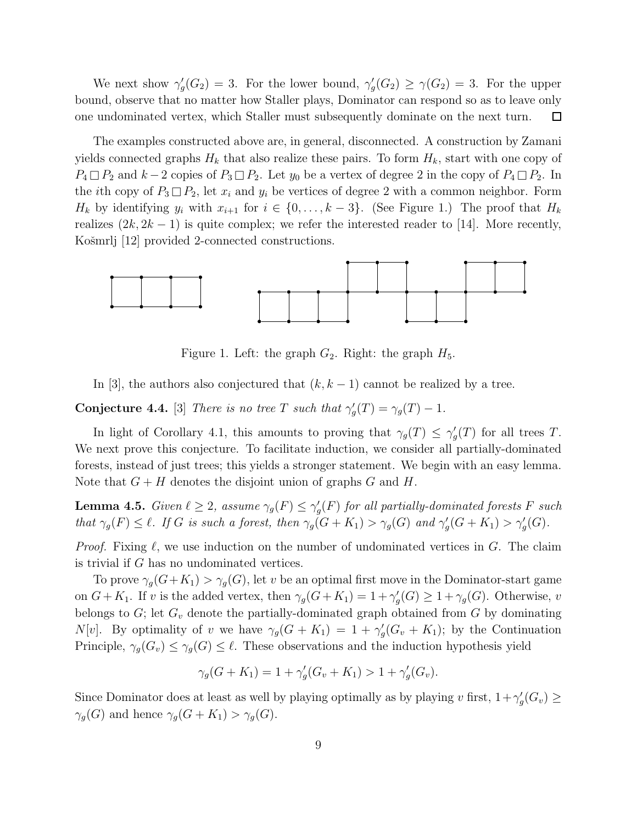We next show  $\gamma'_{c}$  $g'_{g}(G_2) = 3$ . For the lower bound,  $\gamma'_{g}$  $\gamma_g'(G_2) \geq \gamma(G_2) = 3$ . For the upper bound, observe that no matter how Staller plays, Dominator can respond so as to leave only one undominated vertex, which Staller must subsequently dominate on the next turn.  $\Box$ 

The examples constructed above are, in general, disconnected. A construction by Zamani yields connected graphs  $H_k$  that also realize these pairs. To form  $H_k$ , start with one copy of  $P_4 \square P_2$  and  $k-2$  copies of  $P_3 \square P_2$ . Let  $y_0$  be a vertex of degree 2 in the copy of  $P_4 \square P_2$ . In the *i*th copy of  $P_3 \square P_2$ , let  $x_i$  and  $y_i$  be vertices of degree 2 with a common neighbor. Form  $H_k$  by identifying  $y_i$  with  $x_{i+1}$  for  $i \in \{0, \ldots, k-3\}$ . (See Figure 1.) The proof that  $H_k$ realizes  $(2k, 2k-1)$  is quite complex; we refer the interested reader to [14]. More recently, Košmrlj [12] provided 2-connected constructions.



Figure 1. Left: the graph  $G_2$ . Right: the graph  $H_5$ .

In [3], the authors also conjectured that  $(k, k - 1)$  cannot be realized by a tree.

**Conjecture 4.4.** [3] *There is no tree* T *such that*  $\gamma'$  $\gamma_g'(T) = \gamma_g(T) - 1.$ 

In light of Corollary 4.1, this amounts to proving that  $\gamma_g(T) \leq \gamma'_g$  $g(T)$  for all trees T. We next prove this conjecture. To facilitate induction, we consider all partially-dominated forests, instead of just trees; this yields a stronger statement. We begin with an easy lemma. Note that  $G + H$  denotes the disjoint union of graphs G and H.

**Lemma 4.5.** *Given*  $\ell \geq 2$ , *assume*  $\gamma_g(F) \leq \gamma'_g$ g (F) *for all partially-dominated forests* F *such that*  $\gamma_g(F) \leq \ell$ *. If* G *is such a forest, then*  $\gamma_g(G+K_1) > \gamma_g(G)$  *and*  $\gamma'_g$  $\gamma'_{g}(G+K_{1}) > \gamma'_{g}(G).$ 

*Proof.* Fixing  $\ell$ , we use induction on the number of undominated vertices in  $G$ . The claim is trivial if G has no undominated vertices.

To prove  $\gamma_g(G+K_1) > \gamma_g(G)$ , let v be an optimal first move in the Dominator-start game on  $G + K_1$ . If v is the added vertex, then  $\gamma_g(G + K_1) = 1 + \gamma'_g$  $\gamma_g'(G) \geq 1 + \gamma_g(G)$ . Otherwise, v belongs to  $G$ ; let  $G_v$  denote the partially-dominated graph obtained from  $G$  by dominating N[v]. By optimality of v we have  $\gamma_g(G+K_1) = 1 + \gamma'_g$  $g'_{g}(G_v+K_1);$  by the Continuation Principle,  $\gamma_g(G_v) \leq \gamma_g(G) \leq \ell$ . These observations and the induction hypothesis yield

$$
\gamma_g(G + K_1) = 1 + \gamma'_g(G_v + K_1) > 1 + \gamma'_g(G_v).
$$

Since Dominator does at least as well by playing optimally as by playing v first,  $1+\gamma'$  $G'_g(G_v)\geq$  $\gamma_g(G)$  and hence  $\gamma_g(G+K_1) > \gamma_g(G)$ .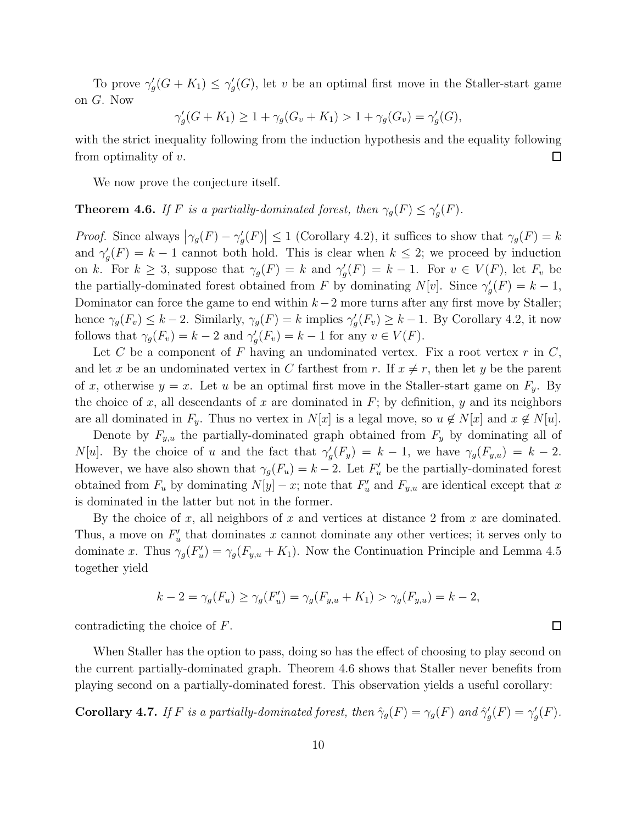To prove  $\gamma'_{c}$  $\gamma_g'(G+K_1) \leq \gamma_g'$  $g'(G)$ , let v be an optimal first move in the Staller-start game on G. Now

$$
\gamma'_g(G + K_1) \ge 1 + \gamma_g(G_v + K_1) > 1 + \gamma_g(G_v) = \gamma'_g(G),
$$

with the strict inequality following from the induction hypothesis and the equality following from optimality of  $v$ .  $\Box$ 

We now prove the conjecture itself.

#### **Theorem 4.6.** *If*  $F$  *is a partially-dominated forest, then*  $\gamma_g(F) \leq \gamma'_g$  $'_{g}(F).$

*Proof.* Since always  $|\gamma_g(F) - \gamma'_g$  $\left|\frac{f}{g}(F)\right| \leq 1$  (Corollary 4.2), it suffices to show that  $\gamma_g(F) = k$ and  $\gamma'$ <sub>c</sub>  $g'(F) = k - 1$  cannot both hold. This is clear when  $k \leq 2$ ; we proceed by induction on k. For  $k \geq 3$ , suppose that  $\gamma_g(F) = k$  and  $\gamma'_g$  $g'(F) = k - 1$ . For  $v \in V(F)$ , let  $F_v$  be the partially-dominated forest obtained from F by dominating  $N[v]$ . Since  $\gamma'$  $g'(F) = k - 1,$ Dominator can force the game to end within  $k-2$  more turns after any first move by Staller; hence  $\gamma_g(F_v) \leq k-2$ . Similarly,  $\gamma_g(F) = k$  implies  $\gamma'_g$  $g'(F_v) \geq k - 1$ . By Corollary 4.2, it now follows that  $\gamma_g(F_v) = k - 2$  and  $\gamma'_g$  $g'(F_v) = k - 1$  for any  $v \in V(F)$ .

Let C be a component of F having an undominated vertex. Fix a root vertex  $r$  in  $C$ , and let x be an undominated vertex in C farthest from r. If  $x \neq r$ , then let y be the parent of x, otherwise  $y = x$ . Let u be an optimal first move in the Staller-start game on  $F_y$ . By the choice of x, all descendants of x are dominated in  $F$ ; by definition, y and its neighbors are all dominated in  $F_y$ . Thus no vertex in  $N[x]$  is a legal move, so  $u \notin N[x]$  and  $x \notin N[u]$ .

Denote by  $F_{y,u}$  the partially-dominated graph obtained from  $F_y$  by dominating all of  $N[u]$ . By the choice of u and the fact that  $\gamma'$  $g'(F_y) = k - 1$ , we have  $\gamma_g(F_{y,u}) = k - 2$ . However, we have also shown that  $\gamma_g(F_u) = k - 2$ . Let  $F'_u$  be the partially-dominated forest obtained from  $F_u$  by dominating  $N[y] - x$ ; note that  $F'_u$  and  $F_{y,u}$  are identical except that x is dominated in the latter but not in the former.

By the choice of  $x$ , all neighbors of  $x$  and vertices at distance 2 from  $x$  are dominated. Thus, a move on  $F'_v$  $u<sub>u</sub>$ <sup>'</sup> that dominates x cannot dominate any other vertices; it serves only to dominate x. Thus  $\gamma_g(F'_u)$  $U'_u$ ) =  $\gamma_g(F_{y,u} + K_1)$ . Now the Continuation Principle and Lemma 4.5 together yield

$$
k - 2 = \gamma_g(F_u) \ge \gamma_g(F_u') = \gamma_g(F_{y,u} + K_1) > \gamma_g(F_{y,u}) = k - 2,
$$

contradicting the choice of F.

When Staller has the option to pass, doing so has the effect of choosing to play second on the current partially-dominated graph. Theorem 4.6 shows that Staller never benefits from playing second on a partially-dominated forest. This observation yields a useful corollary:

**Corollary 4.7.** *If* F *is a partially-dominated forest, then*  $\hat{\gamma}_g(F) = \gamma_g(F)$  *and*  $\hat{\gamma}'_g$  $g'(F) = \gamma_g'$  $'_{g}(F).$ 

 $\Box$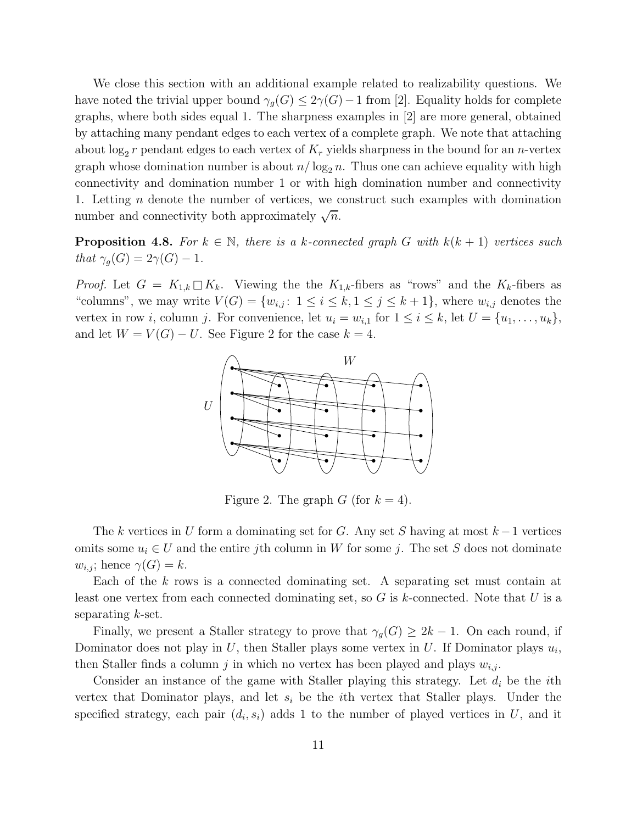We close this section with an additional example related to realizability questions. We have noted the trivial upper bound  $\gamma_q(G) \leq 2\gamma(G) - 1$  from [2]. Equality holds for complete graphs, where both sides equal 1. The sharpness examples in [2] are more general, obtained by attaching many pendant edges to each vertex of a complete graph. We note that attaching about  $\log_2 r$  pendant edges to each vertex of  $K_r$  yields sharpness in the bound for an *n*-vertex graph whose domination number is about  $n/\log_2 n$ . Thus one can achieve equality with high connectivity and domination number 1 or with high domination number and connectivity 1. Letting n denote the number of vertices, we construct such examples with domination number and connectivity both approximately  $\sqrt{n}$ .

**Proposition 4.8.** For  $k \in \mathbb{N}$ , there is a k-connected graph G with  $k(k+1)$  vertices such *that*  $\gamma_q(G) = 2\gamma(G) - 1$ *.* 

*Proof.* Let  $G = K_{1,k} \square K_k$ . Viewing the the  $K_{1,k}$ -fibers as "rows" and the  $K_k$ -fibers as "columns", we may write  $V(G) = \{w_{i,j}: 1 \leq i \leq k, 1 \leq j \leq k+1\}$ , where  $w_{i,j}$  denotes the vertex in row *i*, column *j*. For convenience, let  $u_i = w_{i,1}$  for  $1 \le i \le k$ , let  $U = \{u_1, \ldots, u_k\}$ , and let  $W = V(G) - U$ . See Figure 2 for the case  $k = 4$ .



Figure 2. The graph G (for  $k = 4$ ).

The k vertices in U form a dominating set for G. Any set S having at most  $k-1$  vertices omits some  $u_i \in U$  and the entire jth column in W for some j. The set S does not dominate  $w_{i,j}$ ; hence  $\gamma(G) = k$ .

Each of the k rows is a connected dominating set. A separating set must contain at least one vertex from each connected dominating set, so  $G$  is k-connected. Note that  $U$  is a separating  $k$ -set.

Finally, we present a Staller strategy to prove that  $\gamma_q(G) \geq 2k-1$ . On each round, if Dominator does not play in U, then Staller plays some vertex in U. If Dominator plays  $u_i$ , then Staller finds a column j in which no vertex has been played and plays  $w_{i,j}$ .

Consider an instance of the game with Staller playing this strategy. Let  $d_i$  be the *i*th vertex that Dominator plays, and let  $s_i$  be the *i*th vertex that Staller plays. Under the specified strategy, each pair  $(d_i, s_i)$  adds 1 to the number of played vertices in U, and it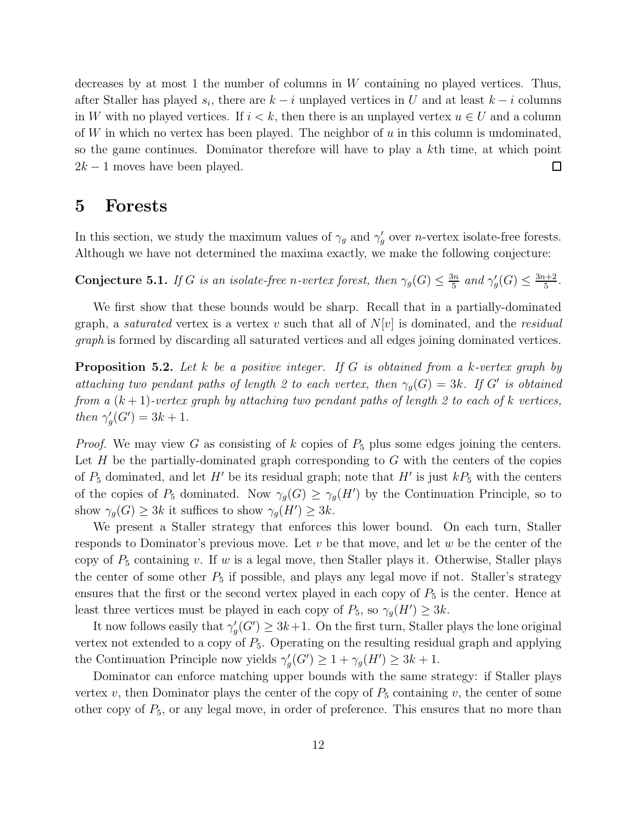decreases by at most 1 the number of columns in  $W$  containing no played vertices. Thus, after Staller has played  $s_i$ , there are  $k - i$  unplayed vertices in U and at least  $k - i$  columns in W with no played vertices. If  $i < k$ , then there is an unplayed vertex  $u \in U$  and a column of W in which no vertex has been played. The neighbor of  $u$  in this column is undominated, so the game continues. Dominator therefore will have to play a kth time, at which point  $2k - 1$  moves have been played.  $\Box$ 

#### 5 Forests

In this section, we study the maximum values of  $\gamma_g$  and  $\gamma'_g$  $'_{g}$  over *n*-vertex isolate-free forests. Although we have not determined the maxima exactly, we make the following conjecture:

**Conjecture 5.1.** *If* G *is an isolate-free n-vertex forest, then*  $\gamma_g(G) \leq \frac{3n}{5}$  $rac{3n}{5}$  and  $\gamma_g'$  $G'_g(G) \leq \frac{3n+2}{5}$  $\frac{1+2}{5}$ .

We first show that these bounds would be sharp. Recall that in a partially-dominated graph, a *saturated* vertex is a vertex v such that all of  $N[v]$  is dominated, and the *residual graph* is formed by discarding all saturated vertices and all edges joining dominated vertices.

Proposition 5.2. *Let* k *be a positive integer. If* G *is obtained from a* k*-vertex graph by attaching two pendant paths of length 2 to each vertex, then*  $\gamma_g(G) = 3k$ *. If* G' *is obtained from a*  $(k + 1)$ -vertex graph by attaching two pendant paths of length 2 to each of k vertices, *then*  $\gamma'_{c}$  $G'_{g}(G') = 3k + 1.$ 

*Proof.* We may view G as consisting of k copies of  $P_5$  plus some edges joining the centers. Let  $H$  be the partially-dominated graph corresponding to  $G$  with the centers of the copies of  $P_5$  dominated, and let H' be its residual graph; note that H' is just  $kP_5$  with the centers of the copies of  $P_5$  dominated. Now  $\gamma_g(G) \geq \gamma_g(H')$  by the Continuation Principle, so to show  $\gamma_g(G) \ge 3k$  it suffices to show  $\gamma_g(H') \ge 3k$ .

We present a Staller strategy that enforces this lower bound. On each turn, Staller responds to Dominator's previous move. Let  $v$  be that move, and let  $w$  be the center of the copy of  $P_5$  containing v. If w is a legal move, then Staller plays it. Otherwise, Staller plays the center of some other  $P_5$  if possible, and plays any legal move if not. Staller's strategy ensures that the first or the second vertex played in each copy of  $P_5$  is the center. Hence at least three vertices must be played in each copy of  $P_5$ , so  $\gamma_g(H') \geq 3k$ .

It now follows easily that  $\gamma'_{\alpha}$  $g'_{g}(G') \geq 3k+1$ . On the first turn, Staller plays the lone original vertex not extended to a copy of  $P_5$ . Operating on the resulting residual graph and applying the Continuation Principle now yields  $\gamma'$  $\gamma_g'(G') \geq 1 + \gamma_g(H') \geq 3k + 1.$ 

Dominator can enforce matching upper bounds with the same strategy: if Staller plays vertex v, then Dominator plays the center of the copy of  $P_5$  containing v, the center of some other copy of  $P_5$ , or any legal move, in order of preference. This ensures that no more than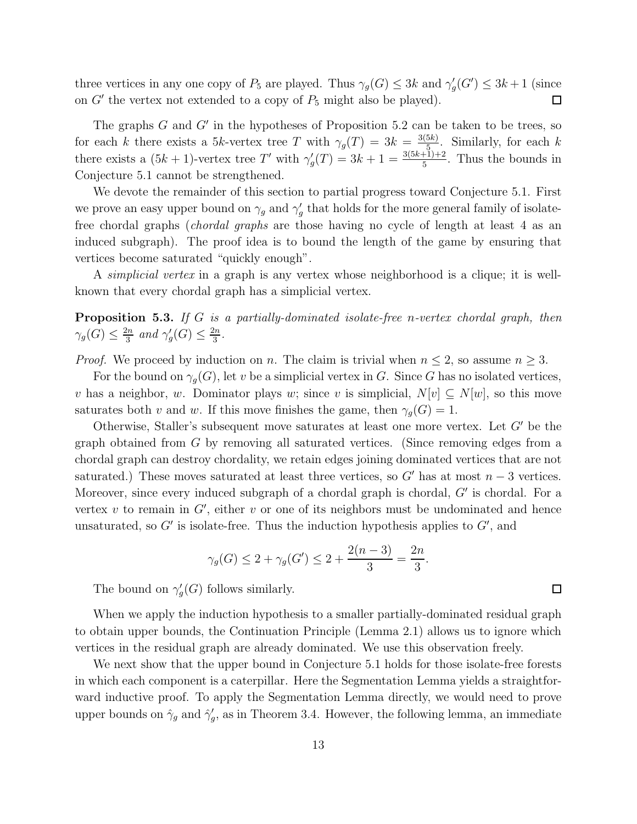three vertices in any one copy of  $P_5$  are played. Thus  $\gamma_g(G) \leq 3k$  and  $\gamma'_g$  $g'_{g}(G') \leq 3k+1$  (since on  $G'$  the vertex not extended to a copy of  $P_5$  might also be played).  $\Box$ 

The graphs  $G$  and  $G'$  in the hypotheses of Proposition 5.2 can be taken to be trees, so for each k there exists a 5k-vertex tree T with  $\gamma_g(T) = 3k = \frac{3(5k)}{5}$  $\frac{5}{5}$ . Similarly, for each k there exists a  $(5k + 1)$ -vertex tree T' with  $\gamma'$  $g'(T) = 3k + 1 = \frac{3(5k+1)+2}{5}$ . Thus the bounds in Conjecture 5.1 cannot be strengthened.

We devote the remainder of this section to partial progress toward Conjecture 5.1. First we prove an easy upper bound on  $\gamma_g$  and  $\gamma'_g$  $g'$  that holds for the more general family of isolatefree chordal graphs (*chordal graphs* are those having no cycle of length at least 4 as an induced subgraph). The proof idea is to bound the length of the game by ensuring that vertices become saturated "quickly enough".

A *simplicial vertex* in a graph is any vertex whose neighborhood is a clique; it is wellknown that every chordal graph has a simplicial vertex.

Proposition 5.3. *If* G *is a partially-dominated isolate-free* n*-vertex chordal graph, then*  $\gamma_g(G) \leq \frac{2n}{3}$  $rac{2n}{3}$  and  $\gamma'_{g}$  $\frac{g}{g}(G) \leq \frac{2n}{3}$  $\frac{2n}{3}$ .

*Proof.* We proceed by induction on n. The claim is trivial when  $n \leq 2$ , so assume  $n \geq 3$ .

For the bound on  $\gamma_q(G)$ , let v be a simplicial vertex in G. Since G has no isolated vertices, v has a neighbor, w. Dominator plays w; since v is simplicial,  $N[v] \subseteq N[w]$ , so this move saturates both v and w. If this move finishes the game, then  $\gamma_q(G) = 1$ .

Otherwise, Staller's subsequent move saturates at least one more vertex. Let G′ be the graph obtained from G by removing all saturated vertices. (Since removing edges from a chordal graph can destroy chordality, we retain edges joining dominated vertices that are not saturated.) These moves saturated at least three vertices, so  $G'$  has at most  $n-3$  vertices. Moreover, since every induced subgraph of a chordal graph is chordal, G' is chordal. For a vertex  $v$  to remain in  $G'$ , either  $v$  or one of its neighbors must be undominated and hence unsaturated, so  $G'$  is isolate-free. Thus the induction hypothesis applies to  $G'$ , and

$$
\gamma_g(G) \le 2 + \gamma_g(G') \le 2 + \frac{2(n-3)}{3} = \frac{2n}{3}.
$$

The bound on  $\gamma'$  $\mathcal{G}_g(G)$  follows similarly.

When we apply the induction hypothesis to a smaller partially-dominated residual graph to obtain upper bounds, the Continuation Principle (Lemma 2.1) allows us to ignore which vertices in the residual graph are already dominated. We use this observation freely.

We next show that the upper bound in Conjecture 5.1 holds for those isolate-free forests in which each component is a caterpillar. Here the Segmentation Lemma yields a straightforward inductive proof. To apply the Segmentation Lemma directly, we would need to prove upper bounds on  $\hat{\gamma}_g$  and  $\hat{\gamma}'_g$  $'_{g}$ , as in Theorem 3.4. However, the following lemma, an immediate

 $\Box$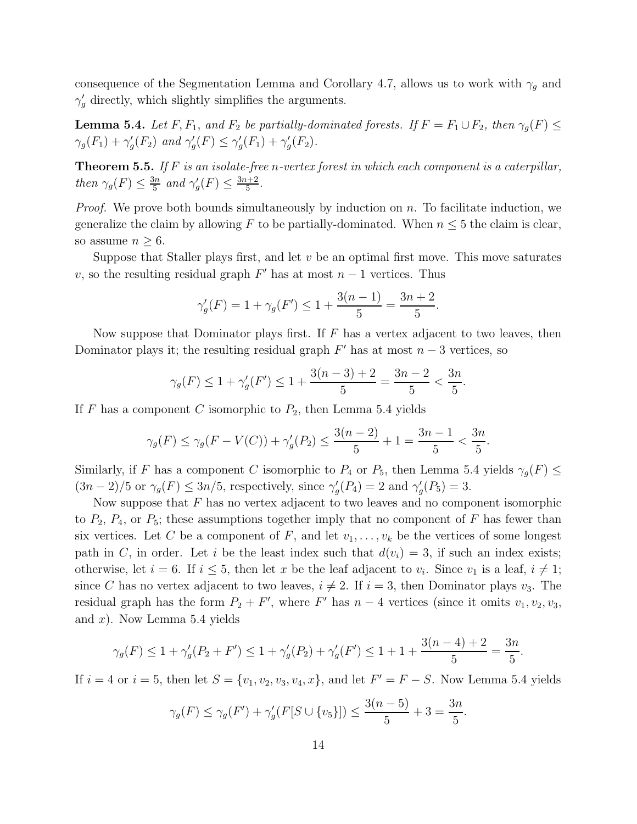consequence of the Segmentation Lemma and Corollary 4.7, allows us to work with  $\gamma_q$  and  $\gamma_g'$  directly, which slightly simplifies the arguments.

**Lemma 5.4.** *Let* F,  $F_1$ , *and*  $F_2$  *be partially-dominated forests. If*  $F = F_1 \cup F_2$ *, then*  $\gamma_g(F) \leq$  $\gamma_g(F_1) + \gamma'_g$  $g'(F_2)$  and  $\gamma'_g$  $g'(F) \leq \gamma'_g$  $'_{g}(F_{1}) + \gamma'_{g}$  $'_{g}(F_{2}).$ 

Theorem 5.5. *If* F *is an isolate-free* n*-vertex forest in which each component is a caterpillar, then*  $\gamma_g(F) \leq \frac{3n}{5}$  $rac{3n}{5}$  and  $\gamma_g'$  $'_{g}(F) \leq \frac{3n+2}{5}$ 5 *.*

*Proof.* We prove both bounds simultaneously by induction on n. To facilitate induction, we generalize the claim by allowing F to be partially-dominated. When  $n \leq 5$  the claim is clear, so assume  $n \geq 6$ .

Suppose that Staller plays first, and let  $v$  be an optimal first move. This move saturates v, so the resulting residual graph  $F'$  has at most  $n-1$  vertices. Thus

$$
\gamma_g'(F) = 1 + \gamma_g(F') \le 1 + \frac{3(n-1)}{5} = \frac{3n+2}{5}
$$

.

Now suppose that Dominator plays first. If  $F$  has a vertex adjacent to two leaves, then Dominator plays it; the resulting residual graph  $F'$  has at most  $n-3$  vertices, so

$$
\gamma_g(F) \le 1 + \gamma'_g(F') \le 1 + \frac{3(n-3)+2}{5} = \frac{3n-2}{5} < \frac{3n}{5}.
$$

If F has a component C isomorphic to  $P_2$ , then Lemma 5.4 yields

$$
\gamma_g(F) \le \gamma_g(F - V(C)) + \gamma'_g(P_2) \le \frac{3(n-2)}{5} + 1 = \frac{3n-1}{5} < \frac{3n}{5}.
$$

Similarly, if F has a component C isomorphic to  $P_4$  or  $P_5$ , then Lemma 5.4 yields  $\gamma_q(F) \leq$  $(3n-2)/5$  or  $\gamma_g(F) \leq 3n/5$ , respectively, since  $\gamma'_g$  $g'(P_4) = 2$  and  $\gamma'_g$  $'_{g}(P_5)=3.$ 

Now suppose that  $F$  has no vertex adjacent to two leaves and no component isomorphic to  $P_2$ ,  $P_4$ , or  $P_5$ ; these assumptions together imply that no component of F has fewer than six vertices. Let C be a component of F, and let  $v_1, \ldots, v_k$  be the vertices of some longest path in C, in order. Let i be the least index such that  $d(v_i) = 3$ , if such an index exists; otherwise, let  $i = 6$ . If  $i \leq 5$ , then let x be the leaf adjacent to  $v_i$ . Since  $v_1$  is a leaf,  $i \neq 1$ ; since C has no vertex adjacent to two leaves,  $i \neq 2$ . If  $i = 3$ , then Dominator plays  $v_3$ . The residual graph has the form  $P_2 + F'$ , where F' has  $n-4$  vertices (since it omits  $v_1, v_2, v_3$ , and  $x$ ). Now Lemma 5.4 yields

$$
\gamma_g(F) \le 1 + \gamma'_g(P_2 + F') \le 1 + \gamma'_g(P_2) + \gamma'_g(F') \le 1 + 1 + \frac{3(n-4) + 2}{5} = \frac{3n}{5}.
$$

If  $i = 4$  or  $i = 5$ , then let  $S = \{v_1, v_2, v_3, v_4, x\}$ , and let  $F' = F - S$ . Now Lemma 5.4 yields

$$
\gamma_g(F) \le \gamma_g(F') + \gamma'_g(F[S \cup \{v_5\}]) \le \frac{3(n-5)}{5} + 3 = \frac{3n}{5}.
$$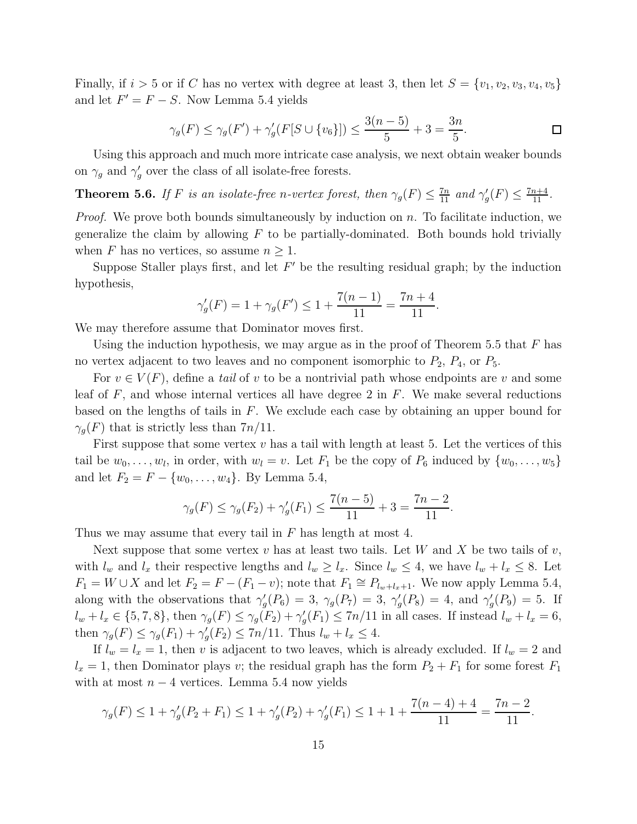Finally, if  $i > 5$  or if C has no vertex with degree at least 3, then let  $S = \{v_1, v_2, v_3, v_4, v_5\}$ and let  $F' = F - S$ . Now Lemma 5.4 yields

$$
\gamma_g(F) \le \gamma_g(F') + \gamma'_g(F[S \cup \{v_6\}]) \le \frac{3(n-5)}{5} + 3 = \frac{3n}{5}.
$$

Using this approach and much more intricate case analysis, we next obtain weaker bounds on  $\gamma_g$  and  $\gamma'_g$  $'_{g}$  over the class of all isolate-free forests.

**Theorem 5.6.** *If F is an isolate-free n-vertex forest, then*  $\gamma_g(F) \leq \frac{7n}{11}$  *and*  $\gamma'_g$  $'_{g}(F) \leq \frac{7n+4}{11}.$ 

*Proof.* We prove both bounds simultaneously by induction on n. To facilitate induction, we generalize the claim by allowing  $F$  to be partially-dominated. Both bounds hold trivially when F has no vertices, so assume  $n \geq 1$ .

Suppose Staller plays first, and let  $F'$  be the resulting residual graph; by the induction hypothesis,

$$
\gamma_g'(F) = 1 + \gamma_g(F') \le 1 + \frac{7(n-1)}{11} = \frac{7n+4}{11}.
$$

We may therefore assume that Dominator moves first.

Using the induction hypothesis, we may argue as in the proof of Theorem 5.5 that  $F$  has no vertex adjacent to two leaves and no component isomorphic to  $P_2$ ,  $P_4$ , or  $P_5$ .

For  $v \in V(F)$ , define a *tail* of v to be a nontrivial path whose endpoints are v and some leaf of  $F$ , and whose internal vertices all have degree 2 in  $F$ . We make several reductions based on the lengths of tails in  $F$ . We exclude each case by obtaining an upper bound for  $\gamma_q(F)$  that is strictly less than  $7n/11$ .

First suppose that some vertex  $v$  has a tail with length at least 5. Let the vertices of this tail be  $w_0, \ldots, w_l$ , in order, with  $w_l = v$ . Let  $F_1$  be the copy of  $P_6$  induced by  $\{w_0, \ldots, w_5\}$ and let  $F_2 = F - \{w_0, \ldots, w_4\}$ . By Lemma 5.4,

$$
\gamma_g(F) \le \gamma_g(F_2) + \gamma'_g(F_1) \le \frac{7(n-5)}{11} + 3 = \frac{7n-2}{11}.
$$

Thus we may assume that every tail in  $F$  has length at most 4.

Next suppose that some vertex v has at least two tails. Let W and X be two tails of v, with  $l_w$  and  $l_x$  their respective lengths and  $l_w \geq l_x$ . Since  $l_w \leq 4$ , we have  $l_w + l_x \leq 8$ . Let  $F_1 = W \cup X$  and let  $F_2 = F - (F_1 - v)$ ; note that  $F_1 \cong P_{l_w + l_x + 1}$ . We now apply Lemma 5.4, along with the observations that  $\gamma'_{\alpha}$  $g'_g(P_6) = 3, \ \gamma_g(P_7) = 3, \ \gamma'_g$  $g'(P_8) = 4$ , and  $\gamma'_g$  $g'(P_9) = 5$ . If  $l_w + l_x \in \{5, 7, 8\}, \text{ then } \gamma_g(F) \leq \gamma_g(F_2) + \gamma'_g$  $g'(F_1) \leq 7n/11$  in all cases. If instead  $l_w + l_x = 6$ , then  $\gamma_g(F) \leq \gamma_g(F_1) + \gamma'_g$  $g'(F_2) \leq 7n/11$ . Thus  $l_w + l_x \leq 4$ .

If  $l_w = l_x = 1$ , then v is adjacent to two leaves, which is already excluded. If  $l_w = 2$  and  $l_x = 1$ , then Dominator plays v; the residual graph has the form  $P_2 + F_1$  for some forest  $F_1$ with at most  $n-4$  vertices. Lemma 5.4 now yields

$$
\gamma_g(F) \le 1 + \gamma'_g(P_2 + F_1) \le 1 + \gamma'_g(P_2) + \gamma'_g(F_1) \le 1 + 1 + \frac{7(n-4) + 4}{11} = \frac{7n-2}{11}.
$$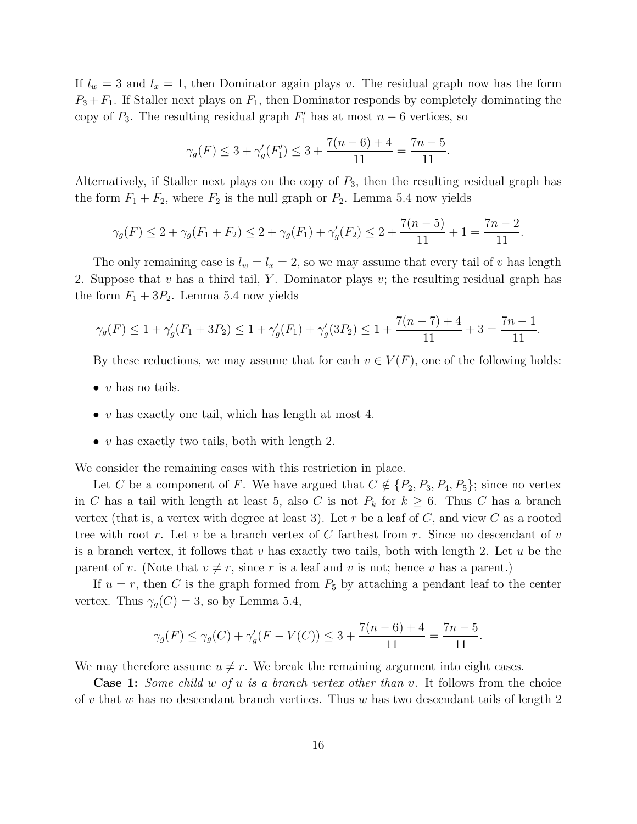If  $l_w = 3$  and  $l_x = 1$ , then Dominator again plays v. The residual graph now has the form  $P_3 + F_1$ . If Staller next plays on  $F_1$ , then Dominator responds by completely dominating the copy of  $P_3$ . The resulting residual graph  $F'_1$  has at most  $n-6$  vertices, so

$$
\gamma_g(F) \leq 3 + \gamma'_g(F'_1) \leq 3 + \frac{7(n-6)+4}{11} = \frac{7n-5}{11}.
$$

Alternatively, if Staller next plays on the copy of  $P_3$ , then the resulting residual graph has the form  $F_1 + F_2$ , where  $F_2$  is the null graph or  $P_2$ . Lemma 5.4 now yields

$$
\gamma_g(F) \le 2 + \gamma_g(F_1 + F_2) \le 2 + \gamma_g(F_1) + \gamma'_g(F_2) \le 2 + \frac{7(n-5)}{11} + 1 = \frac{7n-2}{11}
$$

.

The only remaining case is  $l_w = l_x = 2$ , so we may assume that every tail of v has length 2. Suppose that  $v$  has a third tail,  $Y$ . Dominator plays  $v$ ; the resulting residual graph has the form  $F_1 + 3P_2$ . Lemma 5.4 now yields

$$
\gamma_g(F) \le 1 + \gamma'_g(F_1 + 3P_2) \le 1 + \gamma'_g(F_1) + \gamma'_g(3P_2) \le 1 + \frac{7(n-7)+4}{11} + 3 = \frac{7n-1}{11}.
$$

By these reductions, we may assume that for each  $v \in V(F)$ , one of the following holds:

- $\bullet$  v has no tails.
- v has exactly one tail, which has length at most 4.
- v has exactly two tails, both with length 2.

We consider the remaining cases with this restriction in place.

Let C be a component of F. We have argued that  $C \notin \{P_2, P_3, P_4, P_5\}$ ; since no vertex in C has a tail with length at least 5, also C is not  $P_k$  for  $k \geq 6$ . Thus C has a branch vertex (that is, a vertex with degree at least 3). Let r be a leaf of  $C$ , and view  $C$  as a rooted tree with root r. Let v be a branch vertex of C farthest from r. Since no descendant of v is a branch vertex, it follows that  $v$  has exactly two tails, both with length 2. Let  $u$  be the parent of v. (Note that  $v \neq r$ , since r is a leaf and v is not; hence v has a parent.)

If  $u = r$ , then C is the graph formed from  $P_5$  by attaching a pendant leaf to the center vertex. Thus  $\gamma_g(C) = 3$ , so by Lemma 5.4,

$$
\gamma_g(F) \le \gamma_g(C) + \gamma'_g(F - V(C)) \le 3 + \frac{7(n-6) + 4}{11} = \frac{7n-5}{11}.
$$

We may therefore assume  $u \neq r$ . We break the remaining argument into eight cases.

Case 1: *Some child* w *of* u *is a branch vertex other than* v*.* It follows from the choice of v that w has no descendant branch vertices. Thus w has two descendant tails of length 2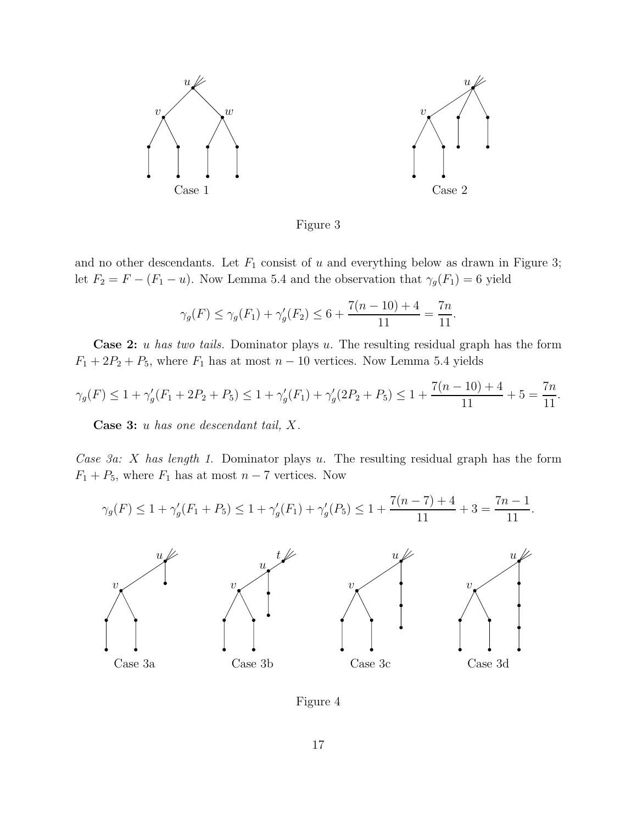

Figure 3

and no other descendants. Let  $F_1$  consist of u and everything below as drawn in Figure 3; let  $F_2 = F - (F_1 - u)$ . Now Lemma 5.4 and the observation that  $\gamma_g(F_1) = 6$  yield

$$
\gamma_g(F) \le \gamma_g(F_1) + \gamma'_g(F_2) \le 6 + \frac{7(n-10) + 4}{11} = \frac{7n}{11}.
$$

Case 2: u *has two tails.* Dominator plays u. The resulting residual graph has the form  $F_1 + 2P_2 + P_5$ , where  $F_1$  has at most  $n - 10$  vertices. Now Lemma 5.4 yields

$$
\gamma_g(F) \le 1 + \gamma'_g(F_1 + 2P_2 + P_5) \le 1 + \gamma'_g(F_1) + \gamma'_g(2P_2 + P_5) \le 1 + \frac{7(n-10) + 4}{11} + 5 = \frac{7n}{11}.
$$

Case 3: u *has one descendant tail,* X*.*

*Case 3a:* X *has length 1*. Dominator plays u. The resulting residual graph has the form  $F_1 + P_5$ , where  $F_1$  has at most  $n - 7$  vertices. Now

$$
\gamma_g(F) \le 1 + \gamma'_g(F_1 + P_5) \le 1 + \gamma'_g(F_1) + \gamma'_g(P_5) \le 1 + \frac{7(n-7)+4}{11} + 3 = \frac{7n-1}{11}.
$$



Figure 4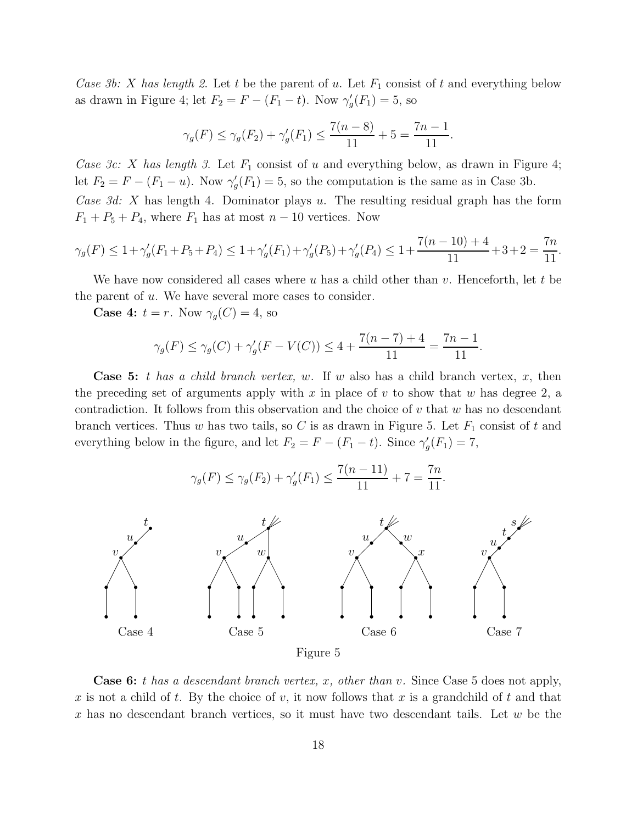*Case 3b:* X has length 2. Let t be the parent of u. Let  $F_1$  consist of t and everything below as drawn in Figure 4; let  $F_2 = F - (F_1 - t)$ . Now  $\gamma'_{\zeta}$  $'_{g}(F_1) = 5$ , so

$$
\gamma_g(F) \le \gamma_g(F_2) + \gamma'_g(F_1) \le \frac{7(n-8)}{11} + 5 = \frac{7n-1}{11}.
$$

*Case 3c:* X has length 3. Let  $F_1$  consist of u and everything below, as drawn in Figure 4; let  $F_2 = F - (F_1 - u)$ . Now  $\gamma'_{g}$  $g'(F_1) = 5$ , so the computation is the same as in Case 3b.

*Case 3d:* X has length 4. Dominator plays u. The resulting residual graph has the form  $F_1 + P_5 + P_4$ , where  $F_1$  has at most  $n - 10$  vertices. Now

$$
\gamma_g(F) \le 1 + \gamma_g'(F_1 + P_5 + P_4) \le 1 + \gamma_g'(F_1) + \gamma_g'(P_5) + \gamma_g'(P_4) \le 1 + \frac{7(n-10) + 4}{11} + 3 + 2 = \frac{7n}{11}.
$$

We have now considered all cases where u has a child other than v. Henceforth, let t be the parent of  $u$ . We have several more cases to consider.

**Case 4:**  $t = r$ . Now  $\gamma_g(C) = 4$ , so

$$
\gamma_g(F) \le \gamma_g(C) + \gamma'_g(F - V(C)) \le 4 + \frac{7(n-7)+4}{11} = \frac{7n-1}{11}.
$$

Case 5: t *has a child branch vertex,* w*.* If w also has a child branch vertex, x, then the preceding set of arguments apply with x in place of v to show that w has degree 2, a contradiction. It follows from this observation and the choice of  $v$  that  $w$  has no descendant branch vertices. Thus w has two tails, so C is as drawn in Figure 5. Let  $F_1$  consist of t and everything below in the figure, and let  $F_2 = F - (F_1 - t)$ . Since  $\gamma'_g$  $'_{g}(F_1) = 7,$ 



Case 6: t *has a descendant branch vertex,* x*, other than* v*.* Since Case 5 does not apply, x is not a child of t. By the choice of v, it now follows that x is a grandchild of t and that x has no descendant branch vertices, so it must have two descendant tails. Let  $w$  be the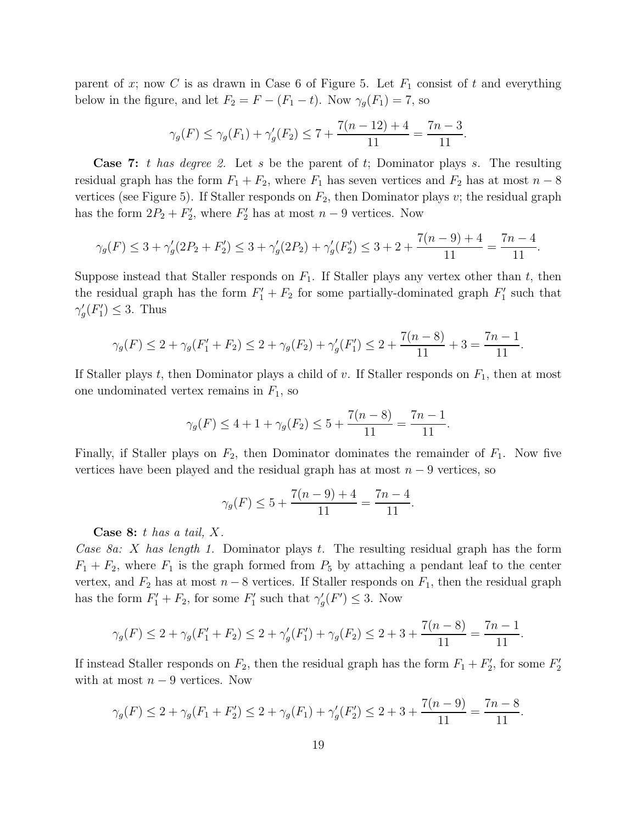parent of x; now C is as drawn in Case 6 of Figure 5. Let  $F_1$  consist of t and everything below in the figure, and let  $F_2 = F - (F_1 - t)$ . Now  $\gamma_g(F_1) = 7$ , so

$$
\gamma_g(F) \le \gamma_g(F_1) + \gamma'_g(F_2) \le 7 + \frac{7(n-12)+4}{11} = \frac{7n-3}{11}.
$$

Case 7: t *has degree 2.* Let s be the parent of t; Dominator plays s. The resulting residual graph has the form  $F_1 + F_2$ , where  $F_1$  has seven vertices and  $F_2$  has at most  $n - 8$ vertices (see Figure 5). If Staller responds on  $F_2$ , then Dominator plays v; the residual graph has the form  $2P_2 + F_2'$  $Z'_2$ , where  $F'_2$  has at most  $n-9$  vertices. Now

$$
\gamma_g(F) \le 3 + \gamma'_g(2P_2 + F'_2) \le 3 + \gamma'_g(2P_2) + \gamma'_g(F'_2) \le 3 + 2 + \frac{7(n-9) + 4}{11} = \frac{7n-4}{11}.
$$

Suppose instead that Staller responds on  $F_1$ . If Staller plays any vertex other than t, then the residual graph has the form  $F'_1 + F_2$  for some partially-dominated graph  $F'_1$  $y_1$  such that  $\gamma_c'$  $'_{g}(F'_{1})$  $j'_1$ )  $\leq$  3. Thus

$$
\gamma_g(F) \le 2 + \gamma_g(F_1' + F_2) \le 2 + \gamma_g(F_2) + \gamma'_g(F_1') \le 2 + \frac{7(n-8)}{11} + 3 = \frac{7n-1}{11}.
$$

If Staller plays t, then Dominator plays a child of v. If Staller responds on  $F_1$ , then at most one undominated vertex remains in  $F_1$ , so

$$
\gamma_g(F) \le 4 + 1 + \gamma_g(F_2) \le 5 + \frac{7(n-8)}{11} = \frac{7n-1}{11}.
$$

Finally, if Staller plays on  $F_2$ , then Dominator dominates the remainder of  $F_1$ . Now five vertices have been played and the residual graph has at most  $n-9$  vertices, so

$$
\gamma_g(F) \le 5 + \frac{7(n-9) + 4}{11} = \frac{7n - 4}{11}.
$$

Case 8: t *has a tail,* X*.*

*Case 8a:* X *has length 1.* Dominator plays t. The resulting residual graph has the form  $F_1 + F_2$ , where  $F_1$  is the graph formed from  $P_5$  by attaching a pendant leaf to the center vertex, and  $F_2$  has at most  $n-8$  vertices. If Staller responds on  $F_1$ , then the residual graph has the form  $F'_1 + F_2$ , for some  $F'_1$ <sup>'</sup><sub>1</sub>' such that  $\gamma'_{g}$  $'_{g}(F') \leq 3$ . Now

$$
\gamma_g(F) \le 2 + \gamma_g(F_1' + F_2) \le 2 + \gamma'_g(F_1') + \gamma_g(F_2) \le 2 + 3 + \frac{7(n-8)}{11} = \frac{7n-1}{11}.
$$

If instead Staller responds on  $F_2$ , then the residual graph has the form  $F_1 + F_2'$  $Z'_2$ , for some  $F'_2$ 2 with at most  $n - 9$  vertices. Now

$$
\gamma_g(F) \le 2 + \gamma_g(F_1 + F_2') \le 2 + \gamma_g(F_1) + \gamma_g'(F_2') \le 2 + 3 + \frac{7(n-9)}{11} = \frac{7n-8}{11}.
$$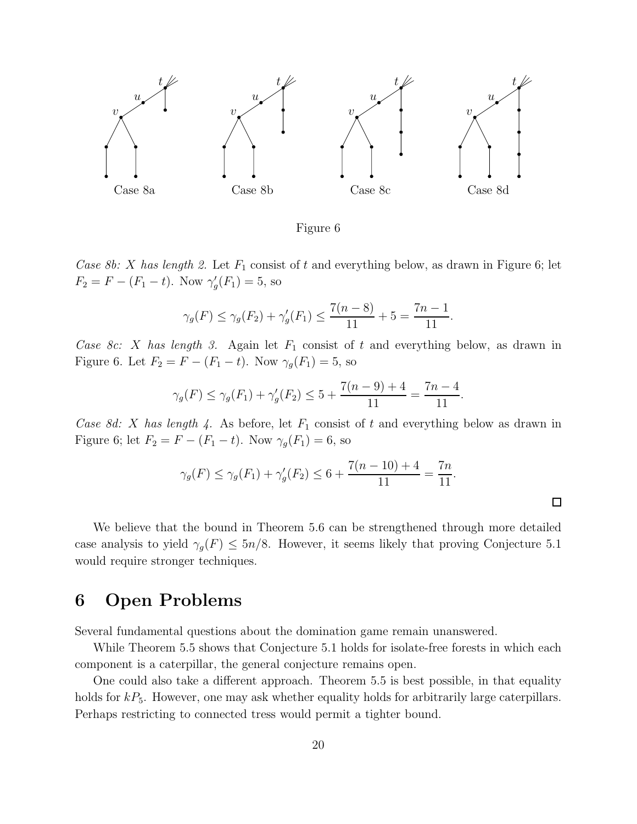

Figure 6

*Case 8b:* X has length 2. Let  $F_1$  consist of t and everything below, as drawn in Figure 6; let  $F_2 = F - (F_1 - t)$ . Now  $\gamma'_{g}$  $'_{g}(F_1) = 5$ , so

$$
\gamma_g(F) \le \gamma_g(F_2) + \gamma'_g(F_1) \le \frac{7(n-8)}{11} + 5 = \frac{7n-1}{11}
$$

.

 $\Box$ 

*Case 8c:* X has length 3. Again let  $F_1$  consist of t and everything below, as drawn in Figure 6. Let  $F_2 = F - (F_1 - t)$ . Now  $\gamma_g(F_1) = 5$ , so

$$
\gamma_g(F) \le \gamma_g(F_1) + \gamma'_g(F_2) \le 5 + \frac{7(n-9)+4}{11} = \frac{7n-4}{11}.
$$

*Case 8d: X has length 4.* As before, let  $F_1$  consist of t and everything below as drawn in Figure 6; let  $F_2 = F - (F_1 - t)$ . Now  $\gamma_g(F_1) = 6$ , so

$$
\gamma_g(F) \le \gamma_g(F_1) + \gamma'_g(F_2) \le 6 + \frac{7(n-10) + 4}{11} = \frac{7n}{11}.
$$

We believe that the bound in Theorem 5.6 can be strengthened through more detailed case analysis to yield  $\gamma_g(F) \leq 5n/8$ . However, it seems likely that proving Conjecture 5.1 would require stronger techniques.

## 6 Open Problems

Several fundamental questions about the domination game remain unanswered.

While Theorem 5.5 shows that Conjecture 5.1 holds for isolate-free forests in which each component is a caterpillar, the general conjecture remains open.

One could also take a different approach. Theorem 5.5 is best possible, in that equality holds for  $kP_5$ . However, one may ask whether equality holds for arbitrarily large caterpillars. Perhaps restricting to connected tress would permit a tighter bound.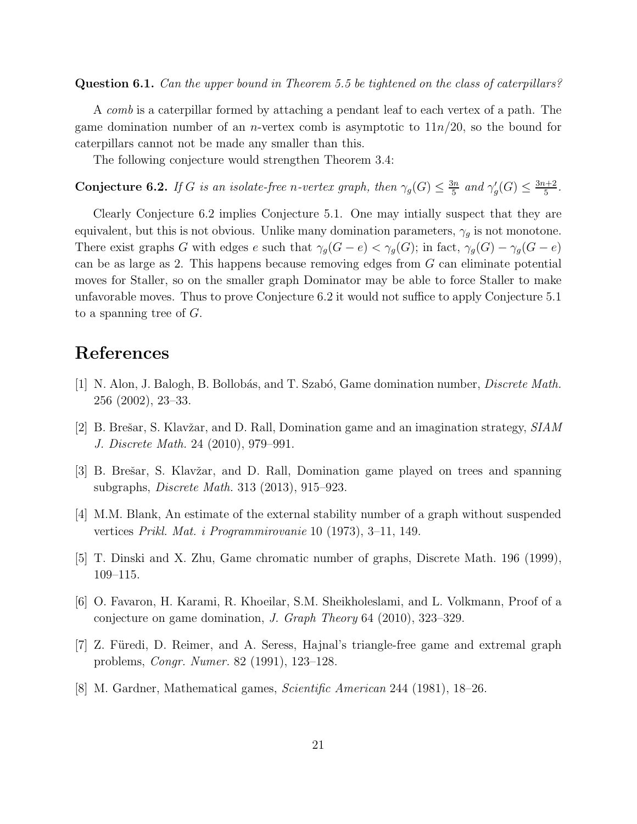Question 6.1. *Can the upper bound in Theorem 5.5 be tightened on the class of caterpillars?*

A *comb* is a caterpillar formed by attaching a pendant leaf to each vertex of a path. The game domination number of an *n*-vertex comb is asymptotic to  $11n/20$ , so the bound for caterpillars cannot not be made any smaller than this.

The following conjecture would strengthen Theorem 3.4:

**Conjecture 6.2.** *If* G *is an isolate-free n-vertex graph, then*  $\gamma_g(G) \leq \frac{3n}{5}$  $rac{3n}{5}$  and  $\gamma_g'$  $\frac{f}{g}(G) \leq \frac{3n+2}{5}$  $rac{1+2}{5}$ .

Clearly Conjecture 6.2 implies Conjecture 5.1. One may intially suspect that they are equivalent, but this is not obvious. Unlike many domination parameters,  $\gamma_q$  is not monotone. There exist graphs G with edges e such that  $\gamma_g(G - e) < \gamma_g(G)$ ; in fact,  $\gamma_g(G) - \gamma_g(G - e)$ can be as large as 2. This happens because removing edges from G can eliminate potential moves for Staller, so on the smaller graph Dominator may be able to force Staller to make unfavorable moves. Thus to prove Conjecture 6.2 it would not suffice to apply Conjecture 5.1 to a spanning tree of  $G$ .

## References

- [1] N. Alon, J. Balogh, B. Bollob´as, and T. Szab´o, Game domination number, *Discrete Math.* 256 (2002), 23–33.
- [2] B. Brešar, S. Klavžar, and D. Rall, Domination game and an imagination strategy, *SIAM J. Discrete Math.* 24 (2010), 979–991.
- [3] B. Brešar, S. Klavžar, and D. Rall, Domination game played on trees and spanning subgraphs, *Discrete Math.* 313 (2013), 915–923.
- [4] M.M. Blank, An estimate of the external stability number of a graph without suspended vertices *Prikl. Mat. i Programmirovanie* 10 (1973), 3–11, 149.
- [5] T. Dinski and X. Zhu, Game chromatic number of graphs, Discrete Math. 196 (1999), 109–115.
- [6] O. Favaron, H. Karami, R. Khoeilar, S.M. Sheikholeslami, and L. Volkmann, Proof of a conjecture on game domination, *J. Graph Theory* 64 (2010), 323–329.
- [7] Z. Füredi, D. Reimer, and A. Seress, Hajnal's triangle-free game and extremal graph problems, *Congr. Numer.* 82 (1991), 123–128.
- [8] M. Gardner, Mathematical games, *Scientific American* 244 (1981), 18–26.